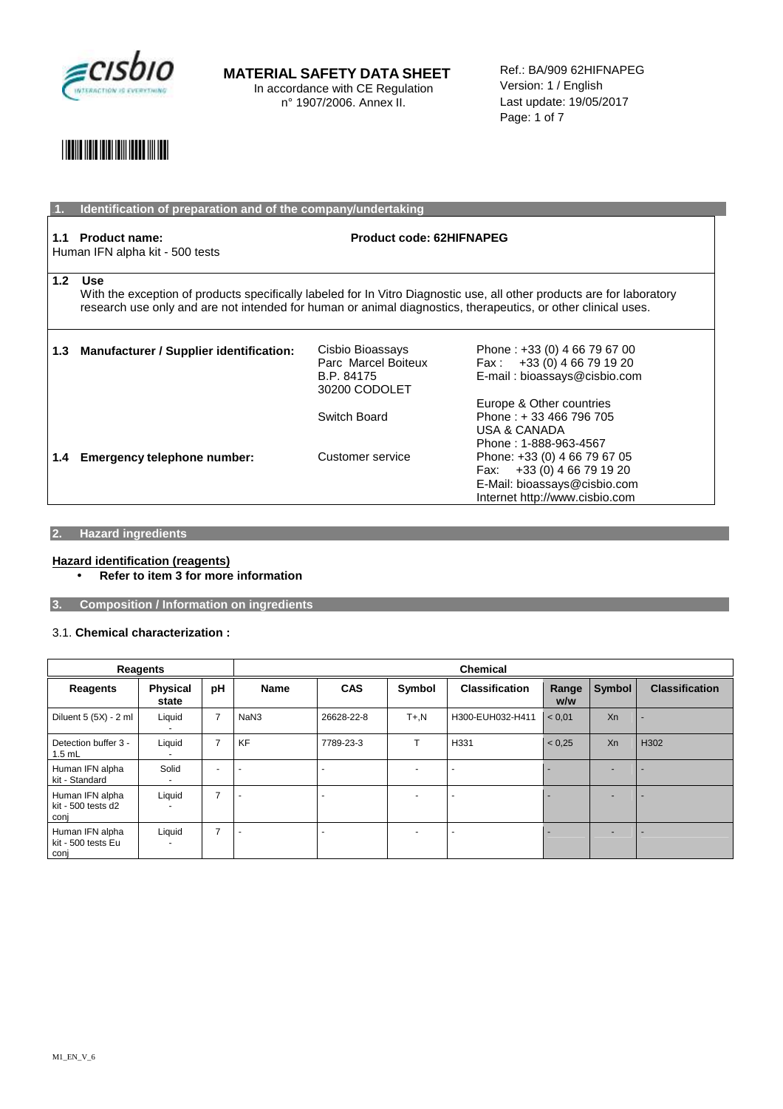

**MATERIAL SAFETY DATA SHEET**  In accordance with CE Regulation

n° 1907/2006. Annex II.

Ref.: BA/909 62HIFNAPEG Version: 1 / English Last update: 19/05/2017 Page: 1 of 7

# \*29873\*

|     | Identification of preparation and of the company/undertaking                                                                                                                                                                                          |                                                                        |                                                                                                                               |  |
|-----|-------------------------------------------------------------------------------------------------------------------------------------------------------------------------------------------------------------------------------------------------------|------------------------------------------------------------------------|-------------------------------------------------------------------------------------------------------------------------------|--|
| 1.1 | <b>Product name:</b><br>Human IFN alpha kit - 500 tests                                                                                                                                                                                               | <b>Product code: 62HIFNAPEG</b>                                        |                                                                                                                               |  |
| 1.2 | <b>Use</b><br>With the exception of products specifically labeled for In Vitro Diagnostic use, all other products are for laboratory<br>research use only and are not intended for human or animal diagnostics, therapeutics, or other clinical uses. |                                                                        |                                                                                                                               |  |
| 1.3 | Manufacturer / Supplier identification:                                                                                                                                                                                                               | Cisbio Bioassays<br>Parc Marcel Boiteux<br>B.P. 84175<br>30200 CODOLET | Phone: +33 (0) 4 66 79 67 00<br>Fax: $+33(0)$ 4 66 79 19 20<br>E-mail: bioassays@cisbio.com                                   |  |
|     |                                                                                                                                                                                                                                                       | Switch Board                                                           | Europe & Other countries<br>Phone: +33 466 796 705<br>USA & CANADA<br>Phone: 1-888-963-4567                                   |  |
| 1.4 | Emergency telephone number:                                                                                                                                                                                                                           | Customer service                                                       | Phone: +33 (0) 4 66 79 67 05<br>Fax: $+33(0)$ 4 66 79 19 20<br>E-Mail: bioassays@cisbio.com<br>Internet http://www.cisbio.com |  |

### **2. Hazard ingredients**

#### **Hazard identification (reagents)**

• **Refer to item 3 for more information** 

**3. Composition / Information on ingredients** 

#### 3.1. **Chemical characterization :**

| <b>Reagents</b>                               |                          |                          | <b>Chemical</b> |            |                          |                          |              |        |                       |
|-----------------------------------------------|--------------------------|--------------------------|-----------------|------------|--------------------------|--------------------------|--------------|--------|-----------------------|
| <b>Reagents</b>                               | <b>Physical</b><br>state | pH                       | Name            | <b>CAS</b> | Symbol                   | <b>Classification</b>    | Range<br>w/w | Symbol | <b>Classification</b> |
| Diluent 5 (5X) - 2 ml                         | Liquid                   | $\overline{7}$           | NaN3            | 26628-22-8 | $T + N$                  | H300-EUH032-H411         | < 0.01       | Xn     |                       |
| Detection buffer 3 -<br>$1.5$ mL              | Liquid                   | $\overline{7}$           | <b>KF</b>       | 7789-23-3  |                          | H331                     | < 0.25       | Xn     | H302                  |
| Human IFN alpha<br>kit - Standard             | Solid                    | $\overline{\phantom{0}}$ |                 |            | $\overline{\phantom{a}}$ | $\overline{\phantom{0}}$ |              |        |                       |
| Human IFN alpha<br>kit - 500 tests d2<br>conj | Liquid                   | $\overline{z}$           |                 |            | $\overline{\phantom{a}}$ |                          |              |        |                       |
| Human IFN alpha<br>kit - 500 tests Eu<br>conj | Liquid                   | $\overline{7}$           |                 |            | $\overline{\phantom{a}}$ |                          |              |        |                       |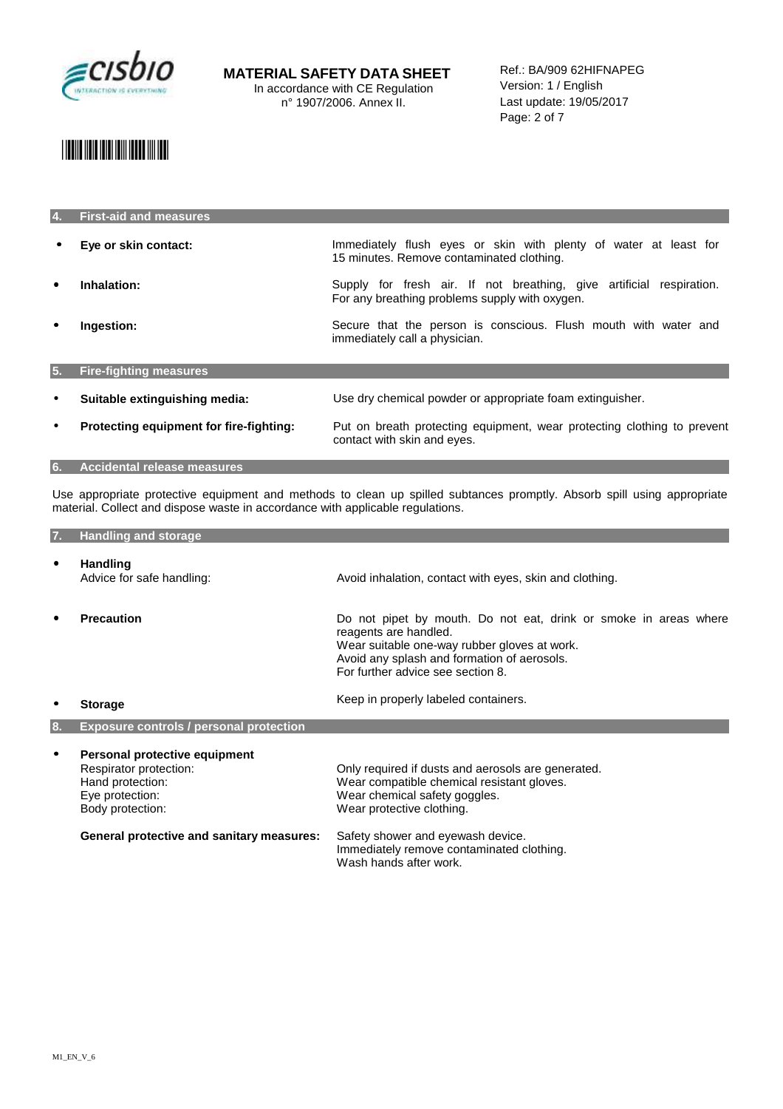

## \*29873\*

| 4.        | <b>First-aid and measures</b>           |                                                                                                                        |
|-----------|-----------------------------------------|------------------------------------------------------------------------------------------------------------------------|
| ٠         | Eye or skin contact:                    | Immediately flush eyes or skin with plenty of water at least for<br>15 minutes. Remove contaminated clothing.          |
| $\bullet$ | Inhalation:                             | Supply for fresh air. If not breathing, give artificial respiration.<br>For any breathing problems supply with oxygen. |
| ٠         | Ingestion:                              | Secure that the person is conscious. Flush mouth with water and<br>immediately call a physician.                       |
| 5.        | <b>Fire-fighting measures</b>           |                                                                                                                        |
| $\bullet$ | Suitable extinguishing media:           | Use dry chemical powder or appropriate foam extinguisher.                                                              |
| $\bullet$ | Protecting equipment for fire-fighting: | Put on breath protecting equipment, wear protecting clothing to prevent<br>contact with skin and eyes.                 |
|           |                                         |                                                                                                                        |

**6. Accidental release measures** 

Use appropriate protective equipment and methods to clean up spilled subtances promptly. Absorb spill using appropriate material. Collect and dispose waste in accordance with applicable regulations.

| 7. | <b>Handling and storage</b>                                                                                        |                                                                                                                                                                                                                               |
|----|--------------------------------------------------------------------------------------------------------------------|-------------------------------------------------------------------------------------------------------------------------------------------------------------------------------------------------------------------------------|
| ٠  | <b>Handling</b><br>Advice for safe handling:                                                                       | Avoid inhalation, contact with eyes, skin and clothing.                                                                                                                                                                       |
|    | <b>Precaution</b>                                                                                                  | Do not pipet by mouth. Do not eat, drink or smoke in areas where<br>reagents are handled.<br>Wear suitable one-way rubber gloves at work.<br>Avoid any splash and formation of aerosols.<br>For further advice see section 8. |
| ٠  | <b>Storage</b>                                                                                                     | Keep in properly labeled containers.                                                                                                                                                                                          |
| 8. | <b>Exposure controls / personal protection</b>                                                                     |                                                                                                                                                                                                                               |
| ٠  | Personal protective equipment<br>Respirator protection:<br>Hand protection:<br>Eye protection:<br>Body protection: | Only required if dusts and aerosols are generated.<br>Wear compatible chemical resistant gloves.<br>Wear chemical safety goggles.<br>Wear protective clothing.                                                                |
|    | General protective and sanitary measures:                                                                          | Safety shower and eyewash device.                                                                                                                                                                                             |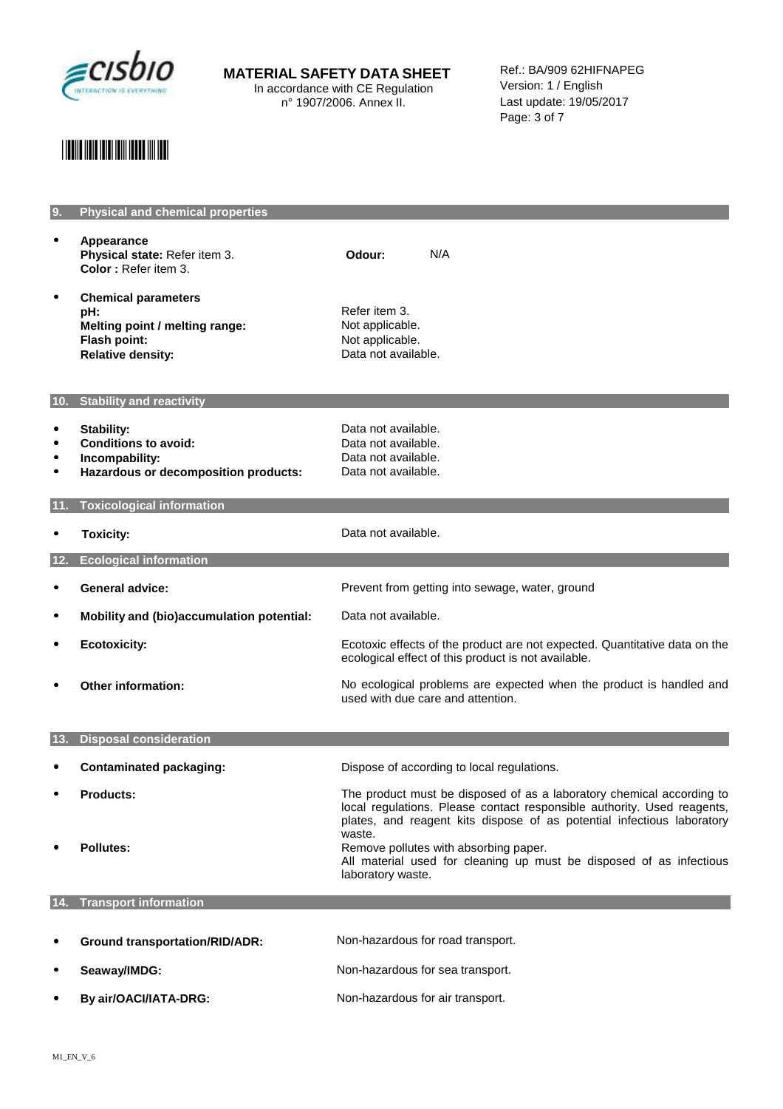

**MATERIAL SAFETY DATA SHEET**  In accordance with CE Regulation

n° 1907/2006. Annex II.

Ref.: BA/909 62HIFNAPEG Version: 1 / English Last update: 19/05/2017 Page: 3 of 7

# \*29873\*

|     | <b>Physical and chemical properties</b>                                                                         |                                                                                                                                                                                                                                                                               |
|-----|-----------------------------------------------------------------------------------------------------------------|-------------------------------------------------------------------------------------------------------------------------------------------------------------------------------------------------------------------------------------------------------------------------------|
|     | Appearance<br>Physical state: Refer item 3.<br>Color: Refer item 3.                                             | N/A<br>Odour:                                                                                                                                                                                                                                                                 |
| ٠   | <b>Chemical parameters</b><br>pH:<br>Melting point / melting range:<br>Flash point:<br><b>Relative density:</b> | Refer item 3.<br>Not applicable.<br>Not applicable.<br>Data not available.                                                                                                                                                                                                    |
| 10. | <b>Stability and reactivity</b>                                                                                 |                                                                                                                                                                                                                                                                               |
| ٠   | Stability:<br><b>Conditions to avoid:</b><br>Incompability:<br>Hazardous or decomposition products:             | Data not available.<br>Data not available.<br>Data not available.<br>Data not available.                                                                                                                                                                                      |
|     | <b>Toxicological information</b>                                                                                |                                                                                                                                                                                                                                                                               |
|     | <b>Toxicity:</b>                                                                                                | Data not available.                                                                                                                                                                                                                                                           |
|     | <b>Ecological information</b>                                                                                   |                                                                                                                                                                                                                                                                               |
|     | <b>General advice:</b>                                                                                          | Prevent from getting into sewage, water, ground                                                                                                                                                                                                                               |
|     | Mobility and (bio)accumulation potential:                                                                       | Data not available.                                                                                                                                                                                                                                                           |
| ٠   | <b>Ecotoxicity:</b>                                                                                             | Ecotoxic effects of the product are not expected. Quantitative data on the<br>ecological effect of this product is not available.                                                                                                                                             |
|     | <b>Other information:</b>                                                                                       | No ecological problems are expected when the product is handled and<br>used with due care and attention.                                                                                                                                                                      |
|     |                                                                                                                 |                                                                                                                                                                                                                                                                               |
|     | <b>Disposal consideration</b>                                                                                   |                                                                                                                                                                                                                                                                               |
|     | <b>Contaminated packaging:</b>                                                                                  | Dispose of according to local regulations.                                                                                                                                                                                                                                    |
|     | <b>Products:</b><br><b>Pollutes:</b>                                                                            | The product must be disposed of as a laboratory chemical according to<br>local regulations. Please contact responsible authority. Used reagents,<br>plates, and reagent kits dispose of as potential infectious laboratory<br>waste.<br>Remove pollutes with absorbing paper. |
|     |                                                                                                                 | All material used for cleaning up must be disposed of as infectious<br>laboratory waste.                                                                                                                                                                                      |
| 14. | <b>Transport information</b>                                                                                    |                                                                                                                                                                                                                                                                               |
|     | <b>Ground transportation/RID/ADR:</b>                                                                           | Non-hazardous for road transport.                                                                                                                                                                                                                                             |
|     | Seaway/IMDG:                                                                                                    | Non-hazardous for sea transport.                                                                                                                                                                                                                                              |

• **By air/OACI/IATA-DRG:** Non-hazardous for air transport.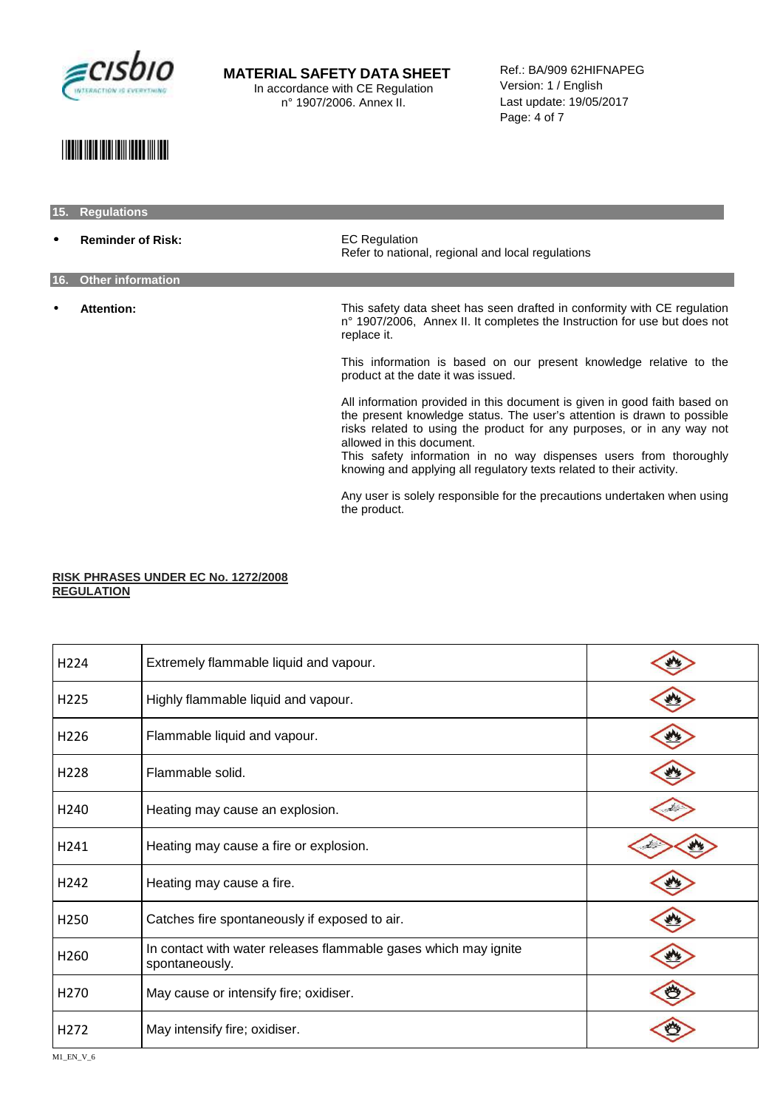

Ref.: BA/909 62HIFNAPEG Version: 1 / English Last update: 19/05/2017 Page: 4 of 7

## \*29873\*

#### **15. Regulations**

**Reminder of Risk: EC Regulation** Refer to national, regional and local regulations **16. Other information**  • **Attention:** This safety data sheet has seen drafted in conformity with CE regulation n° 1907/2006, Annex II. It completes the Instruction for use but does not replace it. This information is based on our present knowledge relative to the product at the date it was issued. All information provided in this document is given in good faith based on the present knowledge status. The user's attention is drawn to possible risks related to using the product for any purposes, or in any way not allowed in this document. This safety information in no way dispenses users from thoroughly knowing and applying all regulatory texts related to their activity.

> Any user is solely responsible for the precautions undertaken when using the product.

#### **RISK PHRASES UNDER EC No. 1272/2008 REGULATION**

| H224             | Extremely flammable liquid and vapour.                                            |  |
|------------------|-----------------------------------------------------------------------------------|--|
| H <sub>225</sub> | Highly flammable liquid and vapour.                                               |  |
| H <sub>226</sub> | Flammable liquid and vapour.                                                      |  |
| H <sub>228</sub> | Flammable solid.                                                                  |  |
| H <sub>240</sub> | Heating may cause an explosion.                                                   |  |
| H <sub>241</sub> | Heating may cause a fire or explosion.                                            |  |
| H <sub>242</sub> | Heating may cause a fire.                                                         |  |
| H250             | Catches fire spontaneously if exposed to air.                                     |  |
| H <sub>260</sub> | In contact with water releases flammable gases which may ignite<br>spontaneously. |  |
| H <sub>270</sub> | May cause or intensify fire; oxidiser.                                            |  |
| H <sub>272</sub> | May intensify fire; oxidiser.                                                     |  |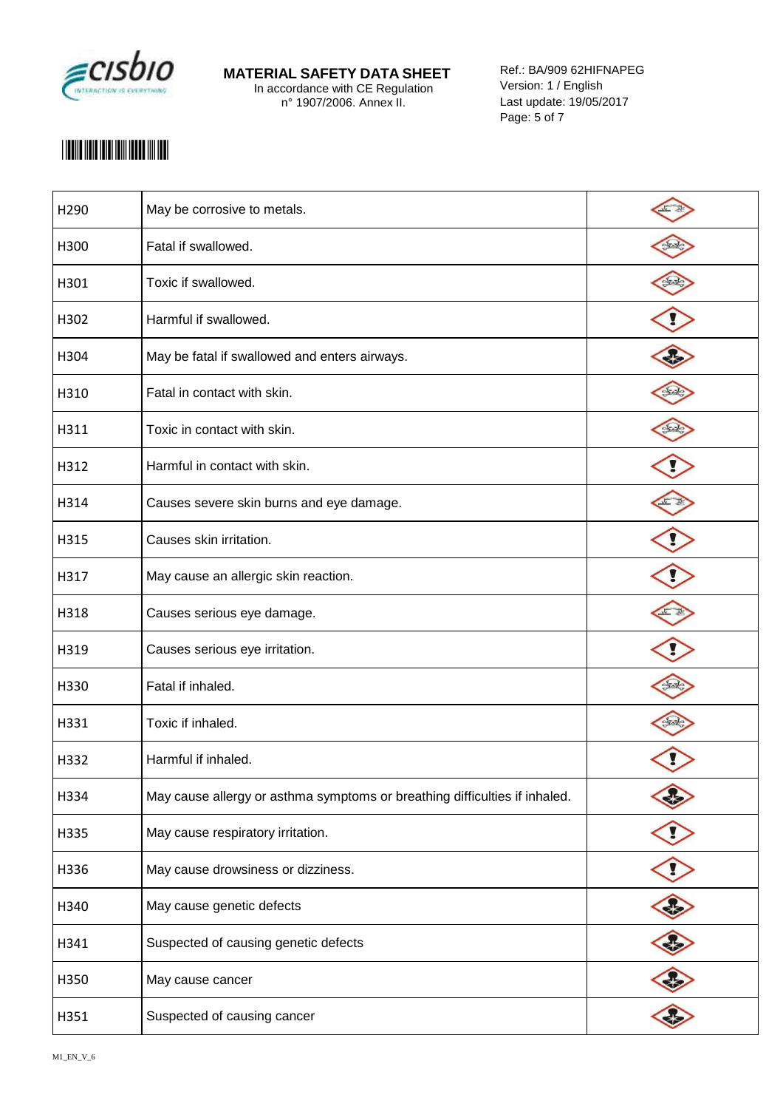

Ref.: BA/909 62HIFNAPEG Version: 1 / English Last update: 19/05/2017 Page: 5 of 7

# \*29873\*

| H290 | May be corrosive to metals.                                                |   |
|------|----------------------------------------------------------------------------|---|
| H300 | Fatal if swallowed.                                                        |   |
| H301 | Toxic if swallowed.                                                        |   |
| H302 | Harmful if swallowed.                                                      |   |
| H304 | May be fatal if swallowed and enters airways.                              |   |
| H310 | Fatal in contact with skin.                                                |   |
| H311 | Toxic in contact with skin.                                                |   |
| H312 | Harmful in contact with skin.                                              |   |
| H314 | Causes severe skin burns and eye damage.                                   |   |
| H315 | Causes skin irritation.                                                    |   |
| H317 | May cause an allergic skin reaction.                                       |   |
| H318 | Causes serious eye damage.                                                 |   |
| H319 | Causes serious eye irritation.                                             |   |
| H330 | Fatal if inhaled.                                                          |   |
| H331 | Toxic if inhaled.                                                          |   |
| H332 | Harmful if inhaled.                                                        |   |
| H334 | May cause allergy or asthma symptoms or breathing difficulties if inhaled. |   |
| H335 | May cause respiratory irritation.                                          |   |
| H336 | May cause drowsiness or dizziness.                                         | Ū |
| H340 | May cause genetic defects                                                  |   |
| H341 | Suspected of causing genetic defects                                       |   |
| H350 | May cause cancer                                                           |   |
| H351 | Suspected of causing cancer                                                |   |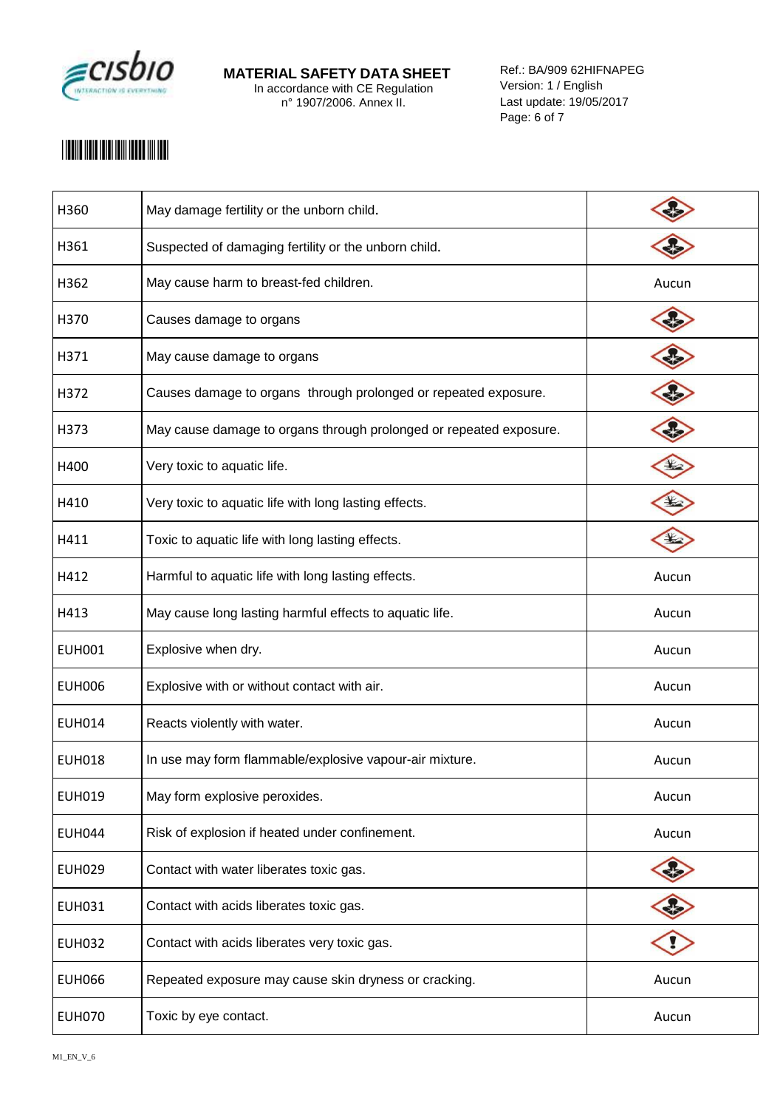

Ref.: BA/909 62HIFNAPEG Version: 1 / English Last update: 19/05/2017 Page: 6 of 7

# \*29873\*

| H360          | May damage fertility or the unborn child.                          |       |
|---------------|--------------------------------------------------------------------|-------|
| H361          | Suspected of damaging fertility or the unborn child.               |       |
| H362          | May cause harm to breast-fed children.                             | Aucun |
| H370          | Causes damage to organs                                            |       |
| H371          | May cause damage to organs                                         |       |
| H372          | Causes damage to organs through prolonged or repeated exposure.    |       |
| H373          | May cause damage to organs through prolonged or repeated exposure. |       |
| H400          | Very toxic to aquatic life.                                        | \$    |
| H410          | Very toxic to aquatic life with long lasting effects.              |       |
| H411          | Toxic to aquatic life with long lasting effects.                   |       |
| H412          | Harmful to aquatic life with long lasting effects.                 | Aucun |
| H413          | May cause long lasting harmful effects to aquatic life.            | Aucun |
| <b>EUH001</b> | Explosive when dry.                                                | Aucun |
| <b>EUH006</b> | Explosive with or without contact with air.                        | Aucun |
| <b>EUH014</b> | Reacts violently with water.                                       | Aucun |
| <b>EUH018</b> | In use may form flammable/explosive vapour-air mixture.            | Aucun |
| <b>EUH019</b> | May form explosive peroxides.                                      | Aucun |
| <b>EUH044</b> | Risk of explosion if heated under confinement.                     | Aucun |
| <b>EUH029</b> | Contact with water liberates toxic gas.                            |       |
| <b>EUH031</b> | Contact with acids liberates toxic gas.                            |       |
| <b>EUH032</b> | Contact with acids liberates very toxic gas.                       |       |
| <b>EUH066</b> | Repeated exposure may cause skin dryness or cracking.              | Aucun |
| <b>EUH070</b> | Toxic by eye contact.                                              | Aucun |